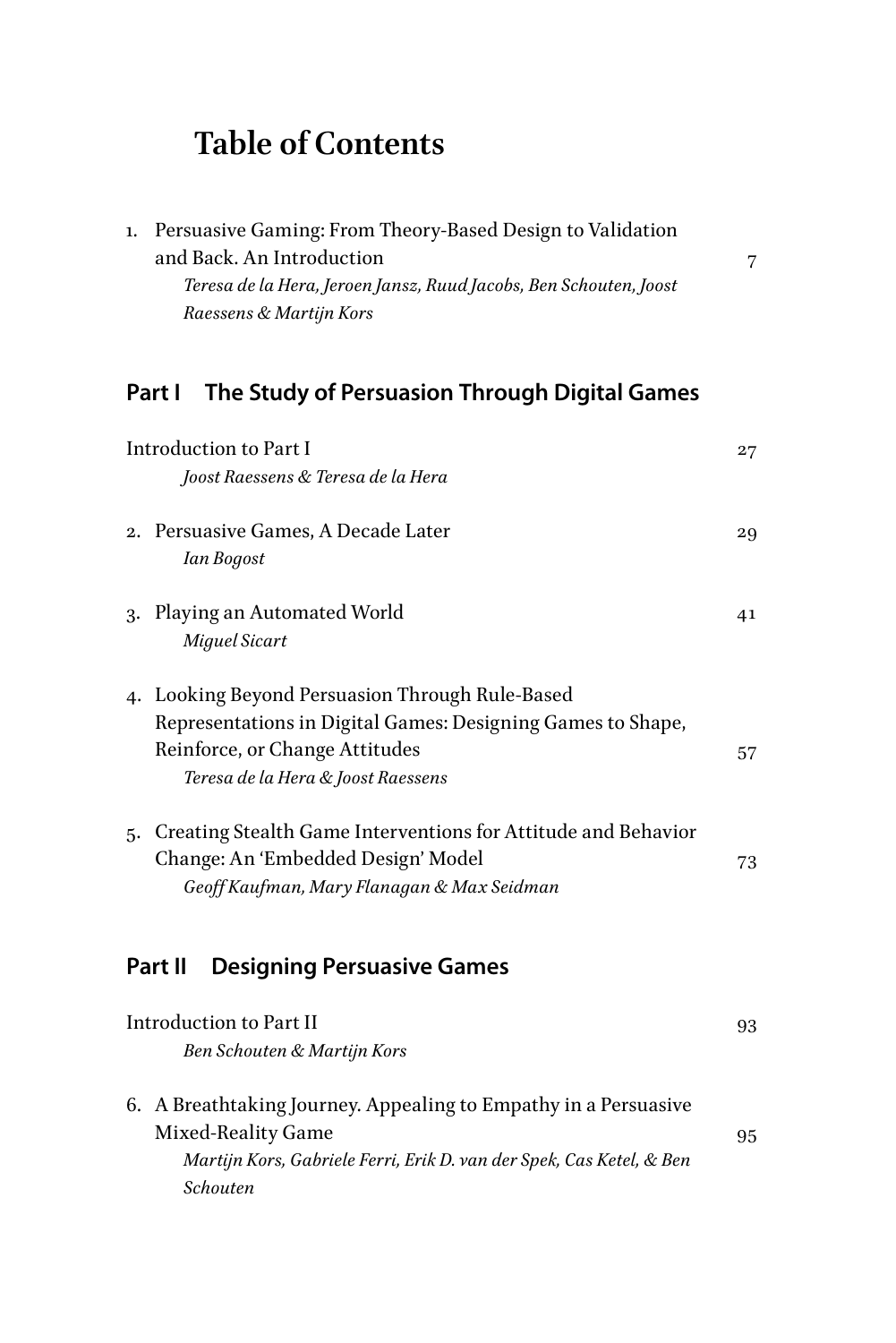## **Table of Contents**

| 1.                                                      | Persuasive Gaming: From Theory-Based Design to Validation<br>and Back. An Introduction<br>Teresa de la Hera, Jeroen Jansz, Ruud Jacobs, Ben Schouten, Joost<br>Raessens & Martijn Kors | 7  |  |
|---------------------------------------------------------|----------------------------------------------------------------------------------------------------------------------------------------------------------------------------------------|----|--|
| The Study of Persuasion Through Digital Games<br>Part I |                                                                                                                                                                                        |    |  |
|                                                         | <b>Introduction to Part I</b>                                                                                                                                                          | 27 |  |
|                                                         | Joost Raessens & Teresa de la Hera                                                                                                                                                     |    |  |
|                                                         | 2. Persuasive Games, A Decade Later<br>Ian Bogost                                                                                                                                      | 29 |  |
|                                                         | 3. Playing an Automated World<br>Miguel Sicart                                                                                                                                         | 41 |  |
|                                                         | 4. Looking Beyond Persuasion Through Rule-Based<br>Representations in Digital Games: Designing Games to Shape,<br>Reinforce, or Change Attitudes<br>Teresa de la Hera & Joost Raessens | 57 |  |
| 5.                                                      | Creating Stealth Game Interventions for Attitude and Behavior<br>Change: An 'Embedded Design' Model<br>Geoff Kaufman, Mary Flanagan & Max Seidman                                      | 73 |  |
|                                                         | Part II<br><b>Designing Persuasive Games</b>                                                                                                                                           |    |  |
|                                                         | <b>Introduction to Part II</b><br>Ben Schouten & Martijn Kors                                                                                                                          | 93 |  |
|                                                         | 6. A Breathtaking Journey. Appealing to Empathy in a Persuasive<br>Mixed-Reality Game                                                                                                  | 95 |  |

*[Martijn Kors, Gabriele Ferri, Erik D. van der Spek, Cas Ketel, & Ben](#page--1-0)* 

*[Schouten](#page--1-0)*